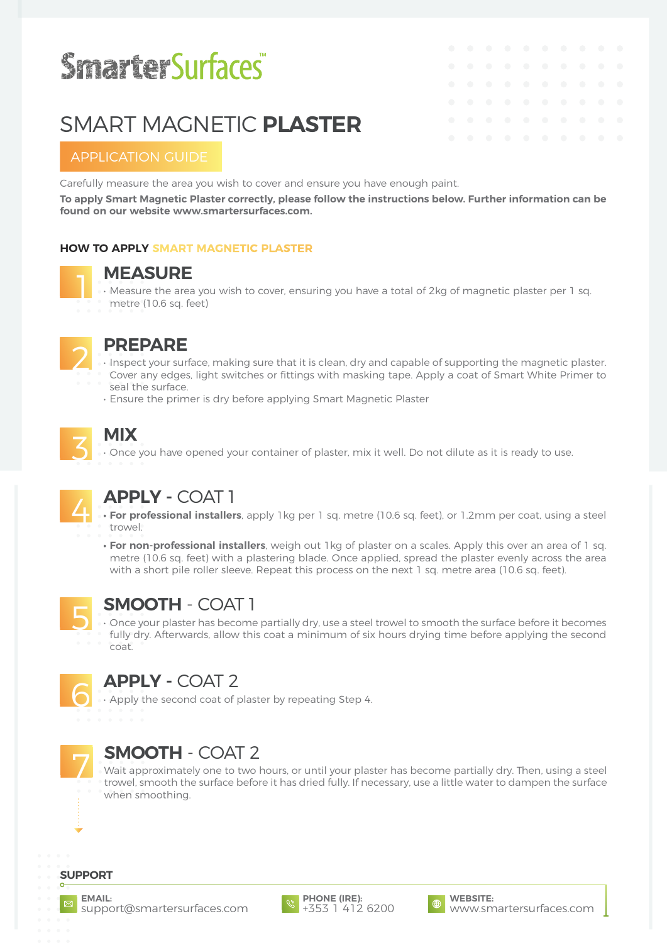# **SmarterSurfaces®**

# SMART MAGNETIC **PLASTER**

## APPLICATION GUIDE

Carefully measure the area you wish to cover and ensure you have enough paint.

**To apply Smart Magnetic Plaster correctly, please follow the instructions below. Further information can be found on our website www.smartersurfaces.com.**

### **HOW TO APPLY SMART MAGNETIC PLASTER**

**MEASURE**<br>• Measure the area you wish to cover, ensuring you have a total of 2kg of magnetic plaster per 1 sq. metre (10.6 sq. feet)



### 2 **PREPARE**

• Inspect your surface, making sure that it is clean, dry and capable of supporting the magnetic plaster.

- Cover any edges, light switches or fittings with masking tape. Apply a coat of Smart White Primer to seal the surface.
- Ensure the primer is dry before applying Smart Magnetic Plaster

# 3 **MIX**

• Once you have opened your container of plaster, mix it well. Do not dilute as it is ready to use.



4 **APPLY -** COAT 1 **• For professional installers**, apply 1kg per 1 sq. metre (10.6 sq. feet), or 1.2mm per coat, using a steel trowel.

**• For non-professional installers**, weigh out 1kg of plaster on a scales. Apply this over an area of 1 sq. metre (10.6 sq. feet) with a plastering blade. Once applied, spread the plaster evenly across the area with a short pile roller sleeve. Repeat this process on the next 1 sq. metre area (10.6 sq. feet).



**SMOOTH** - COAT 1<br>• Once your plaster has become partially dry, use a steel trowel to smooth the surface before it becomes fully dry. Afterwards, allow this coat a minimum of six hours drying time before applying the second coat.



**APPLY - COAT 2**<br>• Apply the second coat of plaster by repeating Step 4.



# 7 **SMOOTH** - COAT 2

Wait approximately one to two hours, or until your plaster has become partially dry. Then, using a steel trowel, smooth the surface before it has dried fully. If necessary, use a little water to dampen the surface when smoothing.

### **SUPPORT**